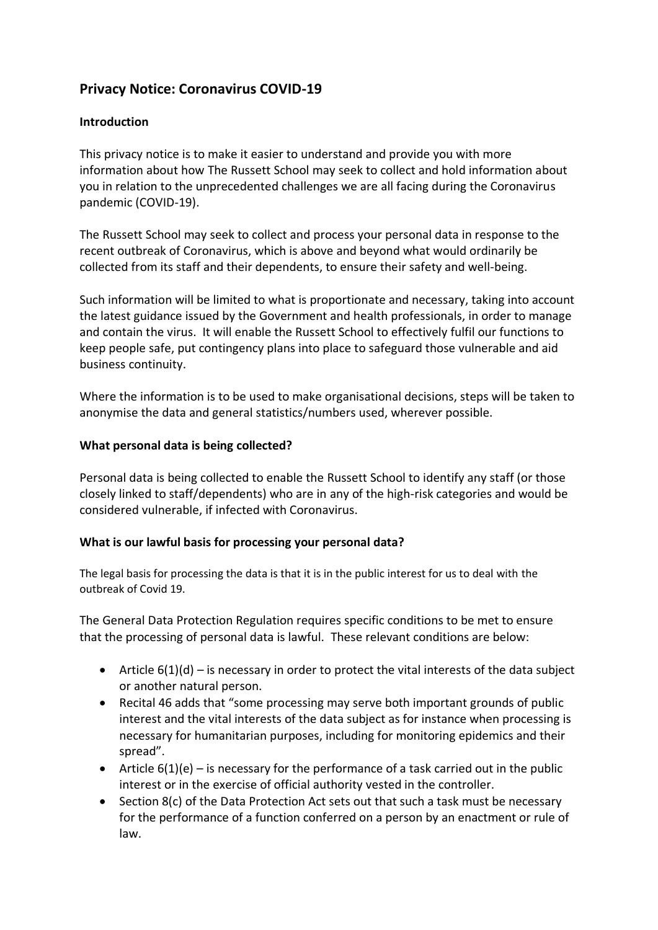# **Privacy Notice: Coronavirus COVID-19**

### **Introduction**

This privacy notice is to make it easier to understand and provide you with more information about how The Russett School may seek to collect and hold information about you in relation to the unprecedented challenges we are all facing during the Coronavirus pandemic (COVID-19).

The Russett School may seek to collect and process your personal data in response to the recent outbreak of Coronavirus, which is above and beyond what would ordinarily be collected from its staff and their dependents, to ensure their safety and well-being.

Such information will be limited to what is proportionate and necessary, taking into account the latest guidance issued by the Government and health professionals, in order to manage and contain the virus. It will enable the Russett School to effectively fulfil our functions to keep people safe, put contingency plans into place to safeguard those vulnerable and aid business continuity.

Where the information is to be used to make organisational decisions, steps will be taken to anonymise the data and general statistics/numbers used, wherever possible.

#### **What personal data is being collected?**

Personal data is being collected to enable the Russett School to identify any staff (or those closely linked to staff/dependents) who are in any of the high-risk categories and would be considered vulnerable, if infected with Coronavirus.

#### **What is our lawful basis for processing your personal data?**

The legal basis for processing the data is that it is in the public interest for us to deal with the outbreak of Covid 19.

The General Data Protection Regulation requires specific conditions to be met to ensure that the processing of personal data is lawful. These relevant conditions are below:

- Article  $6(1)(d)$  is necessary in order to protect the vital interests of the data subject or another natural person.
- Recital 46 adds that "some processing may serve both important grounds of public interest and the vital interests of the data subject as for instance when processing is necessary for humanitarian purposes, including for monitoring epidemics and their spread".
- Article  $6(1)(e)$  is necessary for the performance of a task carried out in the public interest or in the exercise of official authority vested in the controller.
- Section 8(c) of the Data Protection Act sets out that such a task must be necessary for the performance of a function conferred on a person by an enactment or rule of law.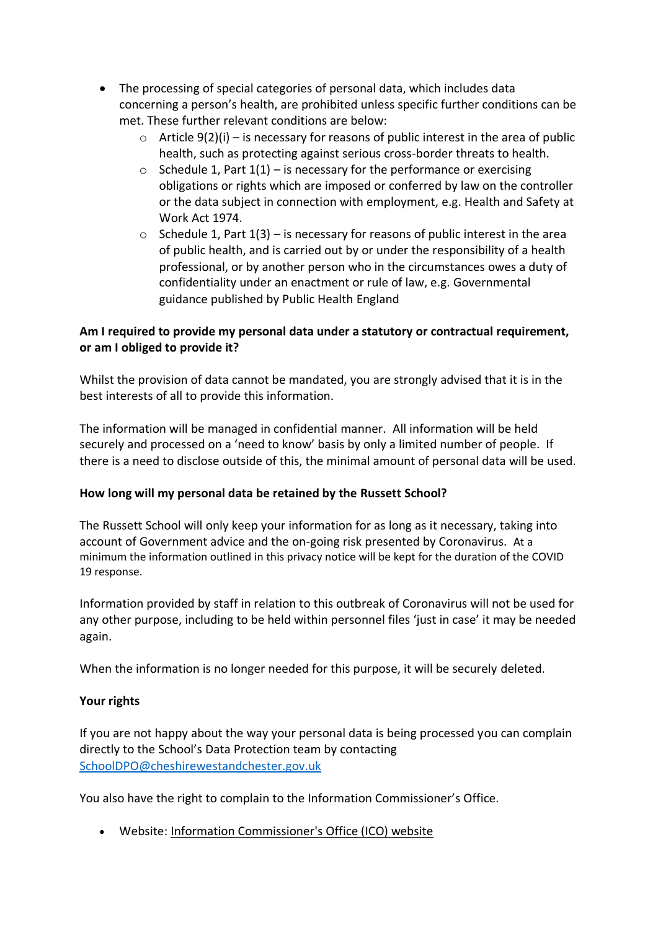- The processing of special categories of personal data, which includes data concerning a person's health, are prohibited unless specific further conditions can be met. These further relevant conditions are below:
	- $\circ$  Article 9(2)(i) is necessary for reasons of public interest in the area of public health, such as protecting against serious cross-border threats to health.
	- $\circ$  Schedule 1, Part 1(1) is necessary for the performance or exercising obligations or rights which are imposed or conferred by law on the controller or the data subject in connection with employment, e.g. Health and Safety at Work Act 1974.
	- $\circ$  Schedule 1, Part 1(3) is necessary for reasons of public interest in the area of public health, and is carried out by or under the responsibility of a health professional, or by another person who in the circumstances owes a duty of confidentiality under an enactment or rule of law, e.g. Governmental guidance published by Public Health England

## **Am I required to provide my personal data under a statutory or contractual requirement, or am I obliged to provide it?**

Whilst the provision of data cannot be mandated, you are strongly advised that it is in the best interests of all to provide this information.

The information will be managed in confidential manner. All information will be held securely and processed on a 'need to know' basis by only a limited number of people. If there is a need to disclose outside of this, the minimal amount of personal data will be used.

## **How long will my personal data be retained by the Russett School?**

The Russett School will only keep your information for as long as it necessary, taking into account of Government advice and the on-going risk presented by Coronavirus. At a minimum the information outlined in this privacy notice will be kept for the duration of the COVID 19 response.

Information provided by staff in relation to this outbreak of Coronavirus will not be used for any other purpose, including to be held within personnel files 'just in case' it may be needed again.

When the information is no longer needed for this purpose, it will be securely deleted.

#### **Your rights**

If you are not happy about the way your personal data is being processed you can complain directly to the School's Data Protection team by contacting [SchoolDPO@cheshirewestandchester.gov.uk](mailto:SchoolDPO@cheshirewestandchester.gov.uk)

You also have the right to complain to the Information Commissioner's Office.

• Website: [Information Commissioner's Office \(ICO\) website](http://www.ico.org.uk/)